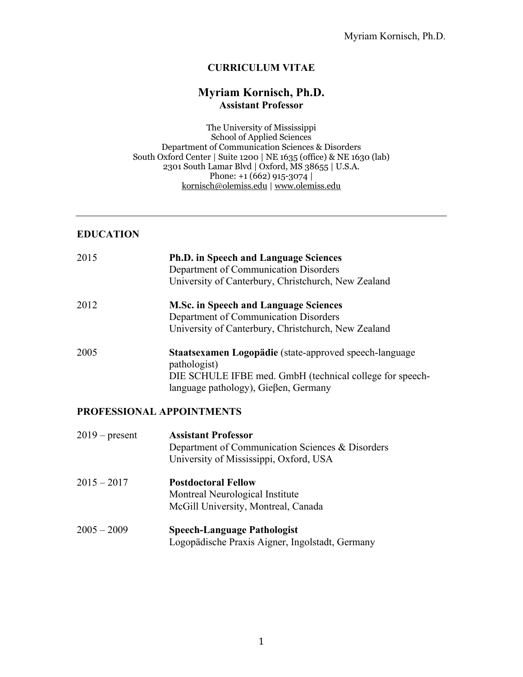## **CURRICULUM VITAE**

# **Myriam Kornisch, Ph.D. Assistant Professor**

The University of Mississippi School of Applied Sciences Department of Communication Sciences & Disorders South Oxford Center | Suite 1200 | NE 1635 (office) & NE 1630 (lab) 2301 South Lamar Blvd  $\vert$  Oxford, MS 38655  $\vert$  U.S.A. Phone: +1 (662) 915-3074 kornisch@olemiss.edu | www.olemiss.edu

## **EDUCATION**

| 2015 | <b>Ph.D.</b> in Speech and Language Sciences<br>Department of Communication Disorders<br>University of Canterbury, Christchurch, New Zealand                               |
|------|----------------------------------------------------------------------------------------------------------------------------------------------------------------------------|
| 2012 | <b>M.Sc. in Speech and Language Sciences</b><br>Department of Communication Disorders<br>University of Canterbury, Christchurch, New Zealand                               |
| 2005 | Staatsexamen Logopädie (state-approved speech-language<br>pathologist)<br>DIE SCHULE IFBE med. GmbH (technical college for speech-<br>language pathology), Gieβen, Germany |

## **PROFESSIONAL APPOINTMENTS**

| $2019$ – present | <b>Assistant Professor</b><br>Department of Communication Sciences & Disorders<br>University of Mississippi, Oxford, USA |
|------------------|--------------------------------------------------------------------------------------------------------------------------|
| $2015 - 2017$    | <b>Postdoctoral Fellow</b><br>Montreal Neurological Institute<br>McGill University, Montreal, Canada                     |
| $2005 - 2009$    | <b>Speech-Language Pathologist</b><br>Logopädische Praxis Aigner, Ingolstadt, Germany                                    |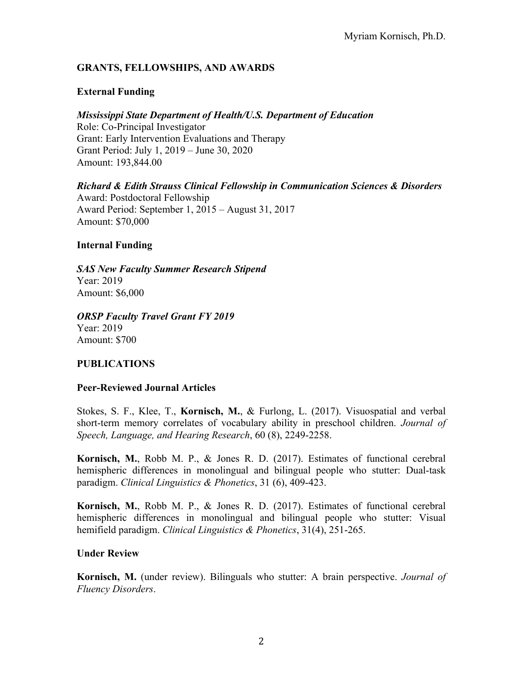# **GRANTS, FELLOWSHIPS, AND AWARDS**

# **External Funding**

# *Mississippi State Department of Health/U.S. Department of Education*

Role: Co-Principal Investigator Grant: Early Intervention Evaluations and Therapy Grant Period: July 1, 2019 – June 30, 2020 Amount: 193,844.00

# *Richard & Edith Strauss Clinical Fellowship in Communication Sciences & Disorders*

Award: Postdoctoral Fellowship Award Period: September 1, 2015 – August 31, 2017 Amount: \$70,000

## **Internal Funding**

*SAS New Faculty Summer Research Stipend*  Year: 2019 Amount: \$6,000

*ORSP Faculty Travel Grant FY 2019* Year: 2019 Amount: \$700

# **PUBLICATIONS**

# **Peer-Reviewed Journal Articles**

Stokes, S. F., Klee, T., **Kornisch, M.**, & Furlong, L. (2017). Visuospatial and verbal short-term memory correlates of vocabulary ability in preschool children. *Journal of Speech, Language, and Hearing Research*, 60 (8), 2249-2258.

**Kornisch, M.**, Robb M. P., & Jones R. D. (2017). Estimates of functional cerebral hemispheric differences in monolingual and bilingual people who stutter: Dual-task paradigm. *Clinical Linguistics & Phonetics*, 31 (6), 409-423.

**Kornisch, M.**, Robb M. P., & Jones R. D. (2017). Estimates of functional cerebral hemispheric differences in monolingual and bilingual people who stutter: Visual hemifield paradigm. *Clinical Linguistics & Phonetics*, 31(4), 251-265.

# **Under Review**

**Kornisch, M.** (under review). Bilinguals who stutter: A brain perspective. *Journal of Fluency Disorders*.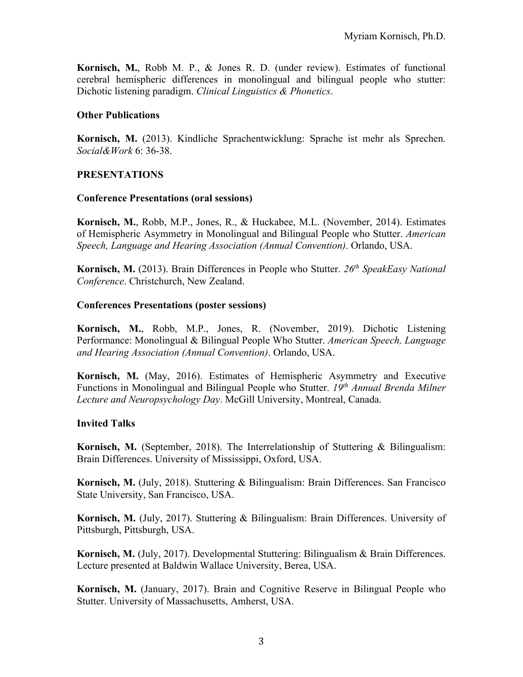**Kornisch, M.**, Robb M. P., & Jones R. D. (under review). Estimates of functional cerebral hemispheric differences in monolingual and bilingual people who stutter: Dichotic listening paradigm. *Clinical Linguistics & Phonetics*.

#### **Other Publications**

**Kornisch, M.** (2013). Kindliche Sprachentwicklung: Sprache ist mehr als Sprechen. *Social&Work* 6: 36-38.

#### **PRESENTATIONS**

#### **Conference Presentations (oral sessions)**

**Kornisch, M.**, Robb, M.P., Jones, R., & Huckabee, M.L. (November, 2014). Estimates of Hemispheric Asymmetry in Monolingual and Bilingual People who Stutter. *American Speech, Language and Hearing Association (Annual Convention)*. Orlando, USA.

**Kornisch, M.** (2013). Brain Differences in People who Stutter. *26th SpeakEasy National Conference*. Christchurch, New Zealand.

#### **Conferences Presentations (poster sessions)**

**Kornisch, M.**, Robb, M.P., Jones, R. (November, 2019). Dichotic Listening Performance: Monolingual & Bilingual People Who Stutter. *American Speech, Language and Hearing Association (Annual Convention)*. Orlando, USA.

**Kornisch, M.** (May, 2016). Estimates of Hemispheric Asymmetry and Executive Functions in Monolingual and Bilingual People who Stutter. *19th Annual Brenda Milner Lecture and Neuropsychology Day*. McGill University, Montreal, Canada.

## **Invited Talks**

**Kornisch, M.** (September, 2018). The Interrelationship of Stuttering & Bilingualism: Brain Differences. University of Mississippi, Oxford, USA.

**Kornisch, M.** (July, 2018). Stuttering & Bilingualism: Brain Differences. San Francisco State University, San Francisco, USA.

**Kornisch, M.** (July, 2017). Stuttering & Bilingualism: Brain Differences. University of Pittsburgh, Pittsburgh, USA.

**Kornisch, M.** (July, 2017). Developmental Stuttering: Bilingualism & Brain Differences. Lecture presented at Baldwin Wallace University, Berea, USA.

**Kornisch, M.** (January, 2017). Brain and Cognitive Reserve in Bilingual People who Stutter. University of Massachusetts, Amherst, USA.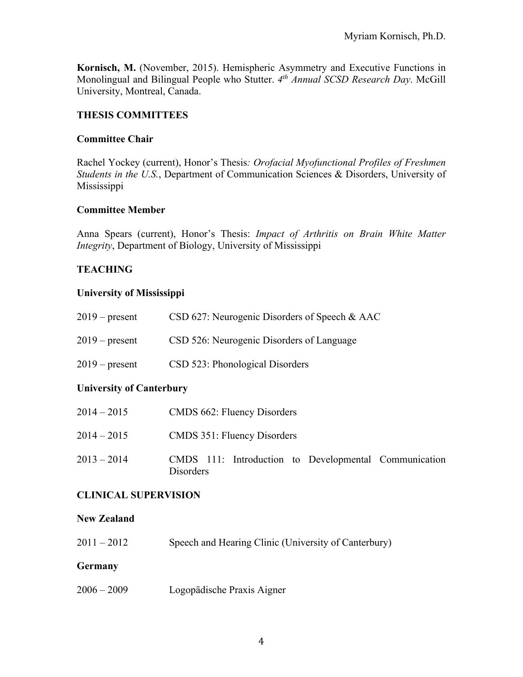**Kornisch, M.** (November, 2015). Hemispheric Asymmetry and Executive Functions in Monolingual and Bilingual People who Stutter. *4th Annual SCSD Research Day*. McGill University, Montreal, Canada.

## **THESIS COMMITTEES**

#### **Committee Chair**

Rachel Yockey (current), Honor's Thesis*: Orofacial Myofunctional Profiles of Freshmen Students in the U.S.*, Department of Communication Sciences & Disorders, University of Mississippi

#### **Committee Member**

Anna Spears (current), Honor's Thesis: *Impact of Arthritis on Brain White Matter Integrity*, Department of Biology, University of Mississippi

## **TEACHING**

## **University of Mississippi**

| $2019$ – present | CSD 627: Neurogenic Disorders of Speech & AAC |
|------------------|-----------------------------------------------|
| $2019$ – present | CSD 526: Neurogenic Disorders of Language     |
| $2019$ – present | CSD 523: Phonological Disorders               |

## **University of Canterbury**

| $2014 - 2015$ | CMDS 662: Fluency Disorders                                               |
|---------------|---------------------------------------------------------------------------|
| $2014 - 2015$ | <b>CMDS 351: Fluency Disorders</b>                                        |
| $2013 - 2014$ | CMDS 111: Introduction to Developmental Communication<br><b>Disorders</b> |

## **CLINICAL SUPERVISION**

#### **New Zealand**

2011 – 2012 Speech and Hearing Clinic (University of Canterbury)

#### **Germany**

2006 – 2009 Logopädische Praxis Aigner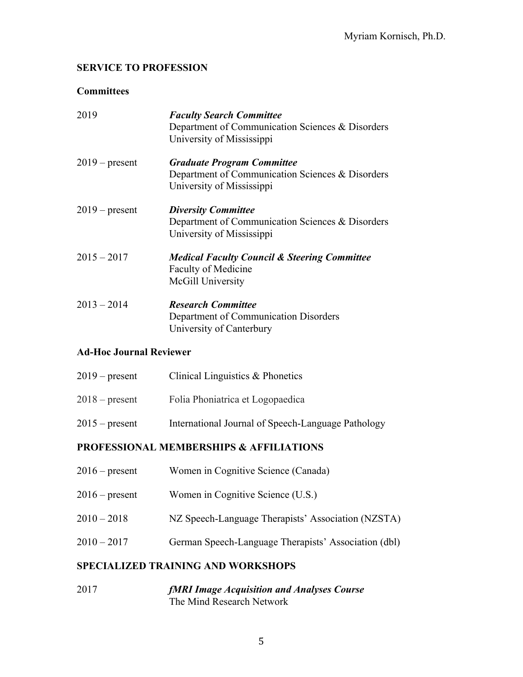# **SERVICE TO PROFESSION**

## **Committees**

| 2019             | <b>Faculty Search Committee</b><br>Department of Communication Sciences & Disorders<br>University of Mississippi   |
|------------------|--------------------------------------------------------------------------------------------------------------------|
| $2019$ – present | <b>Graduate Program Committee</b><br>Department of Communication Sciences & Disorders<br>University of Mississippi |
| $2019$ – present | <b>Diversity Committee</b><br>Department of Communication Sciences & Disorders<br>University of Mississippi        |
| $2015 - 2017$    | <b>Medical Faculty Council &amp; Steering Committee</b><br><b>Faculty of Medicine</b><br>McGill University         |
| $2013 - 2014$    | <b>Research Committee</b><br>Department of Communication Disorders<br>University of Canterbury                     |

# **Ad-Hoc Journal Reviewer**

| $2019$ – present | Clinical Linguistics & Phonetics                   |
|------------------|----------------------------------------------------|
| $2018$ – present | Folia Phoniatrica et Logopaedica                   |
| $2015$ – present | International Journal of Speech-Language Pathology |

# **PROFESSIONAL MEMBERSHIPS & AFFILIATIONS**

| $2016$ – present | Women in Cognitive Science (Canada)                  |
|------------------|------------------------------------------------------|
| $2016$ – present | Women in Cognitive Science (U.S.)                    |
| $2010 - 2018$    | NZ Speech-Language Therapists' Association (NZSTA)   |
| $2010 - 2017$    | German Speech-Language Therapists' Association (dbl) |
|                  |                                                      |

# **SPECIALIZED TRAINING AND WORKSHOPS**

2017 *fMRI Image Acquisition and Analyses Course* The Mind Research Network